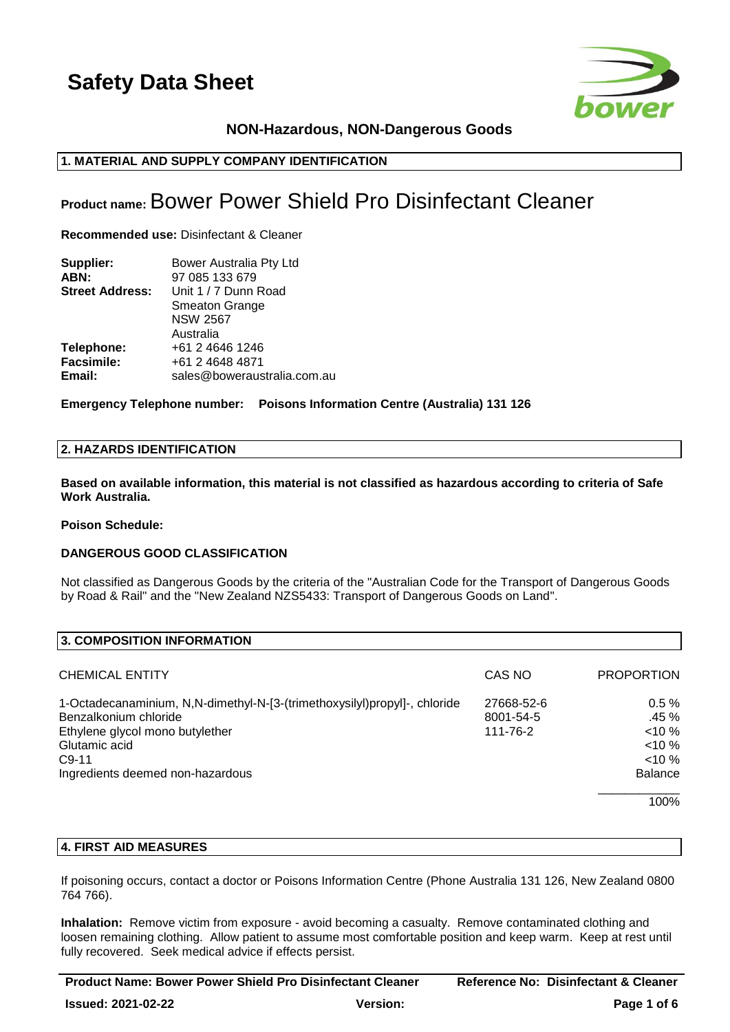

# **NON-Hazardous, NON-Dangerous Goods**

# **1. MATERIAL AND SUPPLY COMPANY IDENTIFICATION**

# **Product name:**Bower Power Shield Pro Disinfectant Cleaner

**Recommended use:** Disinfectant & Cleaner

| Supplier:              | Bower Australia Pty Ltd     |
|------------------------|-----------------------------|
| ABN:                   | 97 085 133 679              |
| <b>Street Address:</b> | Unit 1 / 7 Dunn Road        |
|                        | <b>Smeaton Grange</b>       |
|                        | <b>NSW 2567</b>             |
|                        | Australia                   |
| Telephone:             | +61 2 4646 1246             |
| <b>Facsimile:</b>      | +61 2 4648 4871             |
| Email:                 | sales@boweraustralia.com.au |

**Emergency Telephone number: Poisons Information Centre (Australia) 131 126**

# **2. HAZARDS IDENTIFICATION**

**Based on available information, this material is not classified as hazardous according to criteria of Safe Work Australia.**

### **Poison Schedule:**

# **DANGEROUS GOOD CLASSIFICATION**

Not classified as Dangerous Goods by the criteria of the "Australian Code for the Transport of Dangerous Goods by Road & Rail" and the "New Zealand NZS5433: Transport of Dangerous Goods on Land".

| 3. COMPOSITION INFORMATION                                                |            |                   |
|---------------------------------------------------------------------------|------------|-------------------|
|                                                                           |            |                   |
| <b>CHEMICAL ENTITY</b>                                                    | CAS NO     | <b>PROPORTION</b> |
| 1-Octadecanaminium, N,N-dimethyl-N-[3-(trimethoxysilyl)propyl]-, chloride | 27668-52-6 | 0.5%              |
| Benzalkonium chloride                                                     | 8001-54-5  | $.45\%$           |
| Ethylene glycol mono butylether                                           | 111-76-2   | $< 10 \%$         |
| Glutamic acid                                                             |            | $10\%$            |
| $C9-11$                                                                   |            | $10\%$            |
| Ingredients deemed non-hazardous                                          |            | <b>Balance</b>    |
|                                                                           |            | 100%              |

# **4. FIRST AID MEASURES**

If poisoning occurs, contact a doctor or Poisons Information Centre (Phone Australia 131 126, New Zealand 0800 764 766).

**Inhalation:** Remove victim from exposure - avoid becoming a casualty. Remove contaminated clothing and loosen remaining clothing. Allow patient to assume most comfortable position and keep warm. Keep at rest until fully recovered. Seek medical advice if effects persist.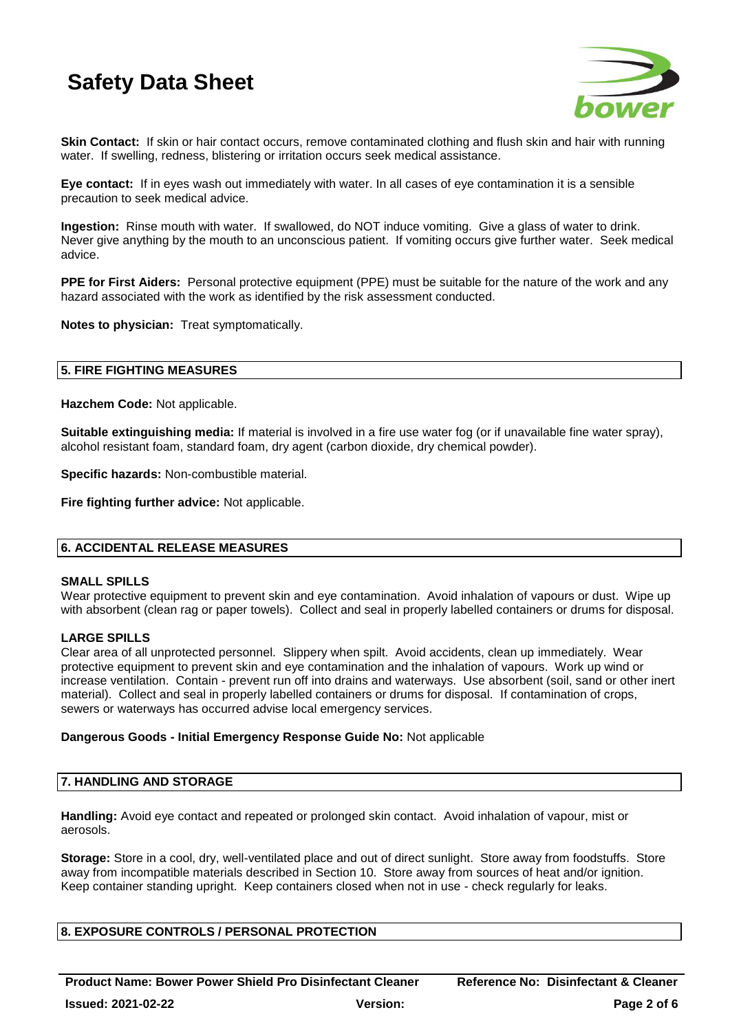

**Skin Contact:** If skin or hair contact occurs, remove contaminated clothing and flush skin and hair with running water. If swelling, redness, blistering or irritation occurs seek medical assistance.

**Eye contact:** If in eyes wash out immediately with water. In all cases of eye contamination it is a sensible precaution to seek medical advice.

**Ingestion:** Rinse mouth with water. If swallowed, do NOT induce vomiting. Give a glass of water to drink. Never give anything by the mouth to an unconscious patient. If vomiting occurs give further water. Seek medical advice.

**PPE for First Aiders:** Personal protective equipment (PPE) must be suitable for the nature of the work and any hazard associated with the work as identified by the risk assessment conducted.

**Notes to physician:** Treat symptomatically.

# **5. FIRE FIGHTING MEASURES**

**Hazchem Code:** Not applicable.

**Suitable extinguishing media:** If material is involved in a fire use water fog (or if unavailable fine water spray), alcohol resistant foam, standard foam, dry agent (carbon dioxide, dry chemical powder).

**Specific hazards:** Non-combustible material.

**Fire fighting further advice:** Not applicable.

### **6. ACCIDENTAL RELEASE MEASURES**

### **SMALL SPILLS**

Wear protective equipment to prevent skin and eye contamination. Avoid inhalation of vapours or dust. Wipe up with absorbent (clean rag or paper towels). Collect and seal in properly labelled containers or drums for disposal.

### **LARGE SPILLS**

Clear area of all unprotected personnel. Slippery when spilt. Avoid accidents, clean up immediately. Wear protective equipment to prevent skin and eye contamination and the inhalation of vapours. Work up wind or increase ventilation. Contain - prevent run off into drains and waterways. Use absorbent (soil, sand or other inert material). Collect and seal in properly labelled containers or drums for disposal. If contamination of crops, sewers or waterways has occurred advise local emergency services.

### **Dangerous Goods - Initial Emergency Response Guide No:** Not applicable

### **7. HANDLING AND STORAGE**

**Handling:** Avoid eye contact and repeated or prolonged skin contact. Avoid inhalation of vapour, mist or aerosols.

**Storage:** Store in a cool, dry, well-ventilated place and out of direct sunlight. Store away from foodstuffs. Store away from incompatible materials described in Section 10. Store away from sources of heat and/or ignition. Keep container standing upright. Keep containers closed when not in use - check regularly for leaks.

# **8. EXPOSURE CONTROLS / PERSONAL PROTECTION**

**Product Name: Bower Power Shield Pro Disinfectant Cleaner Reference No: Disinfectant & Cleaner**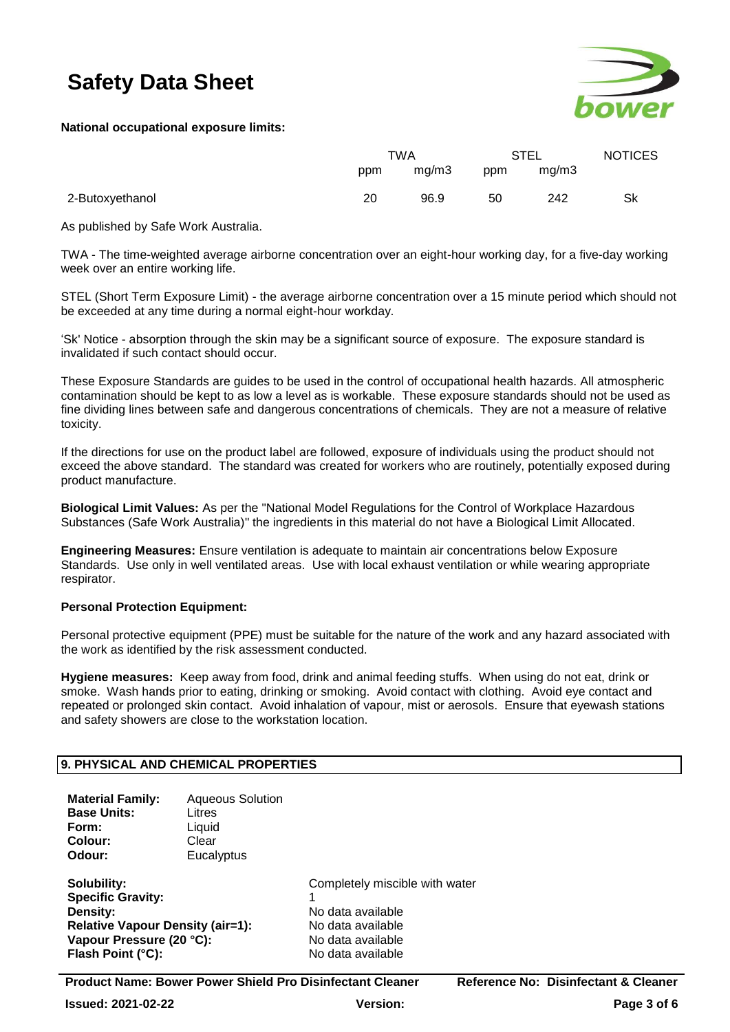

# **National occupational exposure limits:**

|                 | TWA |       | STEL |       | <b>NOTICES</b> |
|-----------------|-----|-------|------|-------|----------------|
|                 | ppm | mg/m3 | ppm  | mq/m3 |                |
| 2-Butoxyethanol | 20  | 96.9  | 50   | 242   | Sk             |

As published by Safe Work Australia.

TWA - The time-weighted average airborne concentration over an eight-hour working day, for a five-day working week over an entire working life.

STEL (Short Term Exposure Limit) - the average airborne concentration over a 15 minute period which should not be exceeded at any time during a normal eight-hour workday.

'Sk' Notice - absorption through the skin may be a significant source of exposure. The exposure standard is invalidated if such contact should occur.

These Exposure Standards are guides to be used in the control of occupational health hazards. All atmospheric contamination should be kept to as low a level as is workable. These exposure standards should not be used as fine dividing lines between safe and dangerous concentrations of chemicals. They are not a measure of relative toxicity.

If the directions for use on the product label are followed, exposure of individuals using the product should not exceed the above standard. The standard was created for workers who are routinely, potentially exposed during product manufacture.

**Biological Limit Values:** As per the "National Model Regulations for the Control of Workplace Hazardous Substances (Safe Work Australia)" the ingredients in this material do not have a Biological Limit Allocated.

**Engineering Measures:** Ensure ventilation is adequate to maintain air concentrations below Exposure Standards. Use only in well ventilated areas. Use with local exhaust ventilation or while wearing appropriate respirator.

# **Personal Protection Equipment:**

Personal protective equipment (PPE) must be suitable for the nature of the work and any hazard associated with the work as identified by the risk assessment conducted.

**Hygiene measures:** Keep away from food, drink and animal feeding stuffs. When using do not eat, drink or smoke. Wash hands prior to eating, drinking or smoking. Avoid contact with clothing. Avoid eye contact and repeated or prolonged skin contact. Avoid inhalation of vapour, mist or aerosols. Ensure that eyewash stations and safety showers are close to the workstation location.

# **9. PHYSICAL AND CHEMICAL PROPERTIES**

| <b>Material Family:</b> | <b>Aqueous Solution</b> |
|-------------------------|-------------------------|
| <b>Base Units:</b>      | Litres                  |
| Form:                   | Liquid                  |
| Colour:                 | Clear                   |
| Odour:                  | Eucalyptus              |
|                         |                         |

**Specific Gravity: Density:** No data available **Relative Vapour Density (air=1):** No data available Vapour Pressure (20 °C): No data available **Flash Point (°C):** No data available

**Solubility:** Completely miscible with water

**Product Name: Bower Power Shield Pro Disinfectant Cleaner Reference No: Disinfectant & Cleaner**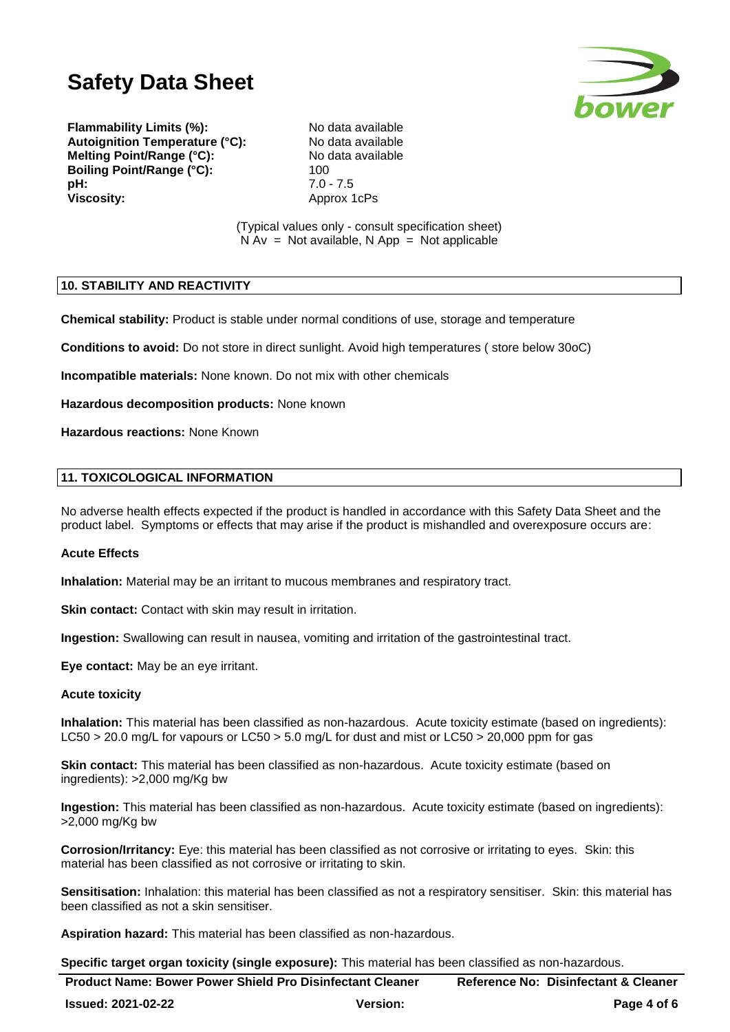

**Flammability Limits (%):** No data available<br> **Autoignition Temperature (°C):** No data available **Autoignition Temperature (°C): Melting Point/Range (°C):** No data available **Boiling Point/Range (°C):** 100 **pH:** 7.0 - 7.5 **Viscosity:** Approx 1cPs

(Typical values only - consult specification sheet)  $N Av = Not available, N App = Not applicable$ 

# **10. STABILITY AND REACTIVITY**

**Chemical stability:** Product is stable under normal conditions of use, storage and temperature

**Conditions to avoid:** Do not store in direct sunlight. Avoid high temperatures ( store below 30oC)

**Incompatible materials:** None known. Do not mix with other chemicals

**Hazardous decomposition products:** None known

**Hazardous reactions:** None Known

# **11. TOXICOLOGICAL INFORMATION**

No adverse health effects expected if the product is handled in accordance with this Safety Data Sheet and the product label. Symptoms or effects that may arise if the product is mishandled and overexposure occurs are:

### **Acute Effects**

**Inhalation:** Material may be an irritant to mucous membranes and respiratory tract.

**Skin contact:** Contact with skin may result in irritation.

**Ingestion:** Swallowing can result in nausea, vomiting and irritation of the gastrointestinal tract.

**Eye contact:** May be an eye irritant.

### **Acute toxicity**

**Inhalation:** This material has been classified as non-hazardous. Acute toxicity estimate (based on ingredients): LC50 > 20.0 mg/L for vapours or LC50 > 5.0 mg/L for dust and mist or LC50 > 20,000 ppm for gas

**Skin contact:** This material has been classified as non-hazardous. Acute toxicity estimate (based on ingredients): >2,000 mg/Kg bw

**Ingestion:** This material has been classified as non-hazardous. Acute toxicity estimate (based on ingredients): >2,000 mg/Kg bw

**Corrosion/Irritancy:** Eye: this material has been classified as not corrosive or irritating to eyes. Skin: this material has been classified as not corrosive or irritating to skin.

**Sensitisation:** Inhalation: this material has been classified as not a respiratory sensitiser. Skin: this material has been classified as not a skin sensitiser.

**Aspiration hazard:** This material has been classified as non-hazardous.

**Specific target organ toxicity (single exposure):** This material has been classified as non-hazardous.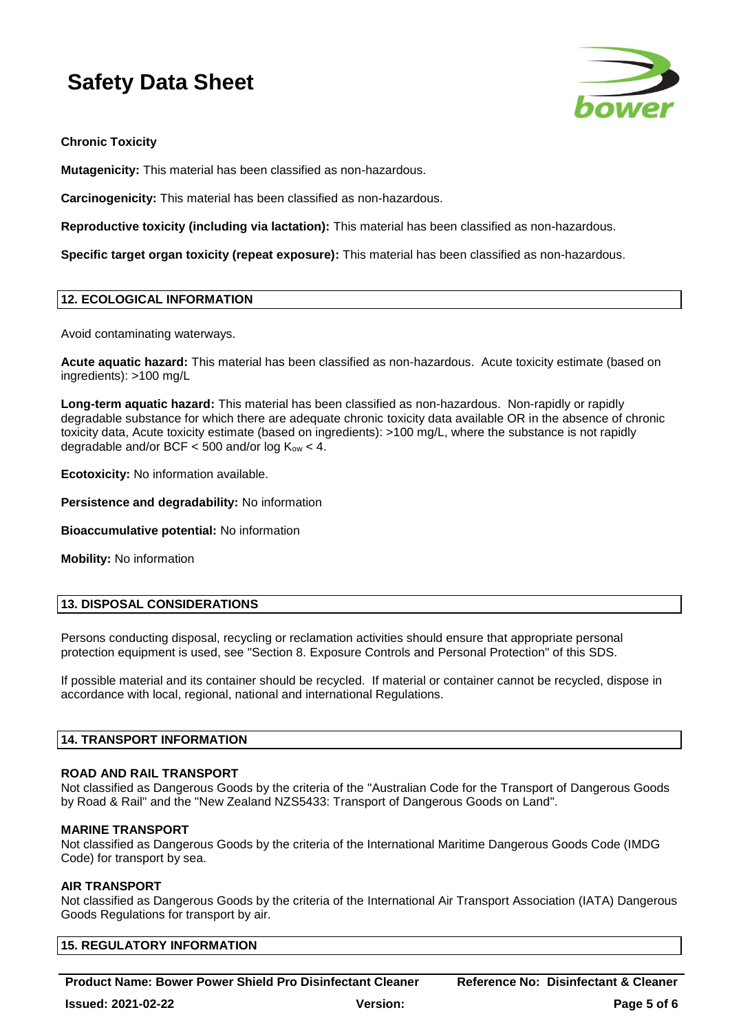

**Chronic Toxicity**

**Mutagenicity:** This material has been classified as non-hazardous.

**Carcinogenicity:** This material has been classified as non-hazardous.

**Reproductive toxicity (including via lactation):** This material has been classified as non-hazardous.

**Specific target organ toxicity (repeat exposure):** This material has been classified as non-hazardous.

# **12. ECOLOGICAL INFORMATION**

Avoid contaminating waterways.

**Acute aquatic hazard:** This material has been classified as non-hazardous. Acute toxicity estimate (based on ingredients): >100 mg/L

**Long-term aquatic hazard:** This material has been classified as non-hazardous. Non-rapidly or rapidly degradable substance for which there are adequate chronic toxicity data available OR in the absence of chronic toxicity data, Acute toxicity estimate (based on ingredients): >100 mg/L, where the substance is not rapidly degradable and/or BCF  $<$  500 and/or log  $K_{ow}$   $<$  4.

**Ecotoxicity:** No information available.

**Persistence and degradability:** No information

**Bioaccumulative potential:** No information

**Mobility:** No information

# **13. DISPOSAL CONSIDERATIONS**

Persons conducting disposal, recycling or reclamation activities should ensure that appropriate personal protection equipment is used, see "Section 8. Exposure Controls and Personal Protection" of this SDS.

If possible material and its container should be recycled. If material or container cannot be recycled, dispose in accordance with local, regional, national and international Regulations.

### **14. TRANSPORT INFORMATION**

### **ROAD AND RAIL TRANSPORT**

Not classified as Dangerous Goods by the criteria of the "Australian Code for the Transport of Dangerous Goods by Road & Rail" and the "New Zealand NZS5433: Transport of Dangerous Goods on Land".

### **MARINE TRANSPORT**

Not classified as Dangerous Goods by the criteria of the International Maritime Dangerous Goods Code (IMDG Code) for transport by sea.

# **AIR TRANSPORT**

Not classified as Dangerous Goods by the criteria of the International Air Transport Association (IATA) Dangerous Goods Regulations for transport by air.

| <b>15. REGULATORY INFORMATION</b> |
|-----------------------------------|
|-----------------------------------|

**Product Name: Bower Power Shield Pro Disinfectant Cleaner Reference No: Disinfectant & Cleaner**